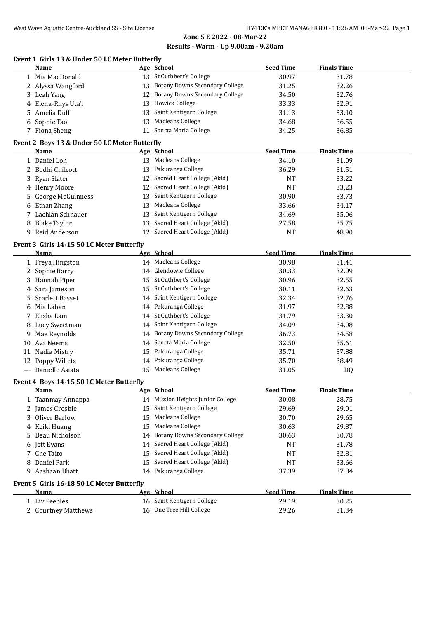# **Zone 5 E 2022 - 08-Mar-22**

#### **Results - Warm - Up 9.00am - 9.20am**

# **Event 1 Girls 13 & Under 50 LC Meter Butterfly**

|                                           | Name                                          |    | Age School                            | <b>Seed Time</b> | <b>Finals Time</b> |  |
|-------------------------------------------|-----------------------------------------------|----|---------------------------------------|------------------|--------------------|--|
|                                           | 1 Mia MacDonald                               |    | 13 St Cuthbert's College              | 30.97            | 31.78              |  |
|                                           | 2 Alyssa Wangford                             |    | 13 Botany Downs Secondary College     | 31.25            | 32.26              |  |
|                                           | 3 Leah Yang                                   | 12 | <b>Botany Downs Secondary College</b> | 34.50            | 32.76              |  |
| 4                                         | Elena-Rhys Uta'i                              | 13 | <b>Howick College</b>                 | 33.33            | 32.91              |  |
| 5.                                        | Amelia Duff                                   | 13 | Saint Kentigern College               | 31.13            | 33.10              |  |
| 6                                         | Sophie Tao                                    | 13 | <b>Macleans College</b>               | 34.68            | 36.55              |  |
|                                           | 7 Fiona Sheng                                 |    | 11 Sancta Maria College               | 34.25            | 36.85              |  |
|                                           | Event 2 Boys 13 & Under 50 LC Meter Butterfly |    |                                       |                  |                    |  |
|                                           | Name                                          |    | Age School                            | <b>Seed Time</b> | <b>Finals Time</b> |  |
|                                           |                                               |    | 13 Macleans College                   |                  |                    |  |
|                                           | 1 Daniel Loh                                  |    | 13 Pakuranga College                  | 34.10            | 31.09              |  |
| 2                                         | Bodhi Chilcott                                |    |                                       | 36.29            | 31.51              |  |
| 3                                         | <b>Ryan Slater</b>                            |    | 12 Sacred Heart College (Akld)        | NT               | 33.22              |  |
|                                           | 4 Henry Moore                                 | 12 | Sacred Heart College (Akld)           | <b>NT</b>        | 33.23              |  |
| 5.                                        | George McGuinness                             | 13 | Saint Kentigern College               | 30.90            | 33.73              |  |
| 6                                         | Ethan Zhang                                   | 13 | <b>Macleans College</b>               | 33.66            | 34.17              |  |
| 7                                         | Lachlan Schnauer                              | 13 | Saint Kentigern College               | 34.69            | 35.06              |  |
| 8                                         | <b>Blake Taylor</b>                           | 13 | Sacred Heart College (Akld)           | 27.58            | 35.75              |  |
| 9                                         | Reid Anderson                                 |    | 12 Sacred Heart College (Akld)        | <b>NT</b>        | 48.90              |  |
|                                           | Event 3 Girls 14-15 50 LC Meter Butterfly     |    |                                       |                  |                    |  |
|                                           | <b>Name</b>                                   |    | Age School                            | <b>Seed Time</b> | <b>Finals Time</b> |  |
|                                           | 1 Freya Hingston                              |    | 14 Macleans College                   | 30.98            | 31.41              |  |
| $\mathbf{2}$                              | Sophie Barry                                  |    | 14 Glendowie College                  | 30.33            | 32.09              |  |
| 3                                         | Hannah Piper                                  |    | 15 St Cuthbert's College              | 30.96            | 32.55              |  |
| 4                                         | Sara Jameson                                  |    | 15 St Cuthbert's College              | 30.11            | 32.63              |  |
| 5.                                        | Scarlett Basset                               |    | 14 Saint Kentigern College            | 32.34            | 32.76              |  |
| 6                                         | Mia Laban                                     | 14 | Pakuranga College                     | 31.97            | 32.88              |  |
| 7                                         | Elisha Lam                                    |    | 14 St Cuthbert's College              | 31.79            | 33.30              |  |
| 8                                         | Lucy Sweetman                                 |    | 14 Saint Kentigern College            | 34.09            | 34.08              |  |
| 9                                         | Mae Reynolds                                  | 14 | <b>Botany Downs Secondary College</b> | 36.73            | 34.58              |  |
|                                           | 10 Ava Neems                                  |    | 14 Sancta Maria College               | 32.50            | 35.61              |  |
|                                           | 11 Nadia Mistry                               |    | 15 Pakuranga College                  | 35.71            | 37.88              |  |
|                                           | 12 Poppy Willets                              |    | 14 Pakuranga College                  | 35.70            | 38.49              |  |
|                                           | --- Danielle Asiata                           |    | 15 Macleans College                   | 31.05            | DQ                 |  |
|                                           | Event 4 Boys 14-15 50 LC Meter Butterfly      |    |                                       |                  |                    |  |
|                                           | <u>Name</u>                                   |    | Age School                            | <b>Seed Time</b> | <b>Finals Time</b> |  |
|                                           | 1 Taanmay Annappa                             |    | 14 Mission Heights Junior College     | 30.08            | 28.75              |  |
|                                           | 2 James Crosbie                               | 15 | Saint Kentigern College               | 29.69            | 29.01              |  |
| 3.                                        | Oliver Barlow                                 | 15 | <b>Macleans College</b>               | 30.70            | 29.65              |  |
| 4                                         | Keiki Huang                                   | 15 | <b>Macleans College</b>               | 30.63            | 29.87              |  |
| 5                                         | Beau Nicholson                                | 14 | <b>Botany Downs Secondary College</b> | 30.63            | 30.78              |  |
|                                           | Jett Evans                                    | 14 | Sacred Heart College (Akld)           | NT               | 31.78              |  |
| 7                                         | Che Taito                                     | 15 | Sacred Heart College (Akld)           | NT               | 32.81              |  |
|                                           | Daniel Park                                   | 15 | Sacred Heart College (Akld)           | NT               | 33.66              |  |
| 9.                                        | Aashaan Bhatt                                 | 14 | Pakuranga College                     | 37.39            | 37.84              |  |
|                                           |                                               |    |                                       |                  |                    |  |
| Event 5 Girls 16-18 50 LC Meter Butterfly |                                               |    |                                       |                  |                    |  |
|                                           | <b>Name</b>                                   |    | Age School                            | <b>Seed Time</b> | <b>Finals Time</b> |  |
|                                           | 1 Liv Peebles                                 |    | 16 Saint Kentigern College            | 29.19            | 30.25              |  |
|                                           | 2 Courtney Matthews                           |    | 16 One Tree Hill College              | 29.26            | 31.34              |  |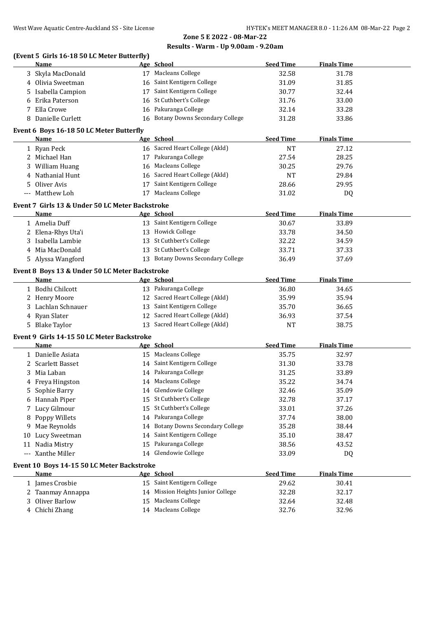## **Zone 5 E 2022 - 08-Mar-22 Results - Warm - Up 9.00am - 9.20am**

#### **(Event 5 Girls 16-18 50 LC Meter Butterfly)**

|    | Name                                            |    | Age School                            | <b>Seed Time</b> | <b>Finals Time</b> |
|----|-------------------------------------------------|----|---------------------------------------|------------------|--------------------|
|    | 3 Skyla MacDonald                               |    | 17 Macleans College                   | 32.58            | 31.78              |
|    | 4 Olivia Sweetman                               |    | 16 Saint Kentigern College            | 31.09            | 31.85              |
| 5. | Isabella Campion                                |    | 17 Saint Kentigern College            | 30.77            | 32.44              |
| 6  | Erika Paterson                                  |    | 16 St Cuthbert's College              | 31.76            | 33.00              |
| 7  | Ella Crowe                                      |    | 16 Pakuranga College                  | 32.14            | 33.28              |
|    | 8 Danielle Curlett                              |    | 16 Botany Downs Secondary College     | 31.28            | 33.86              |
|    |                                                 |    |                                       |                  |                    |
|    | Event 6 Boys 16-18 50 LC Meter Butterfly        |    |                                       |                  |                    |
|    | Name                                            |    | Age School                            | <b>Seed Time</b> | <b>Finals Time</b> |
|    | 1 Ryan Peck                                     |    | 16 Sacred Heart College (Akld)        | NT               | 27.12              |
|    | 2 Michael Han                                   |    | 17 Pakuranga College                  | 27.54            | 28.25              |
|    | 3 William Huang                                 |    | 16 Macleans College                   | 30.25            | 29.76              |
|    | 4 Nathanial Hunt                                |    | 16 Sacred Heart College (Akld)        | <b>NT</b>        | 29.84              |
| 5. | Oliver Avis                                     |    | 17 Saint Kentigern College            | 28.66            | 29.95              |
|    | --- Matthew Loh                                 |    | 17 Macleans College                   | 31.02            | DQ                 |
|    | Event 7 Girls 13 & Under 50 LC Meter Backstroke |    |                                       |                  |                    |
|    | Name                                            |    | Age School                            | <b>Seed Time</b> | <b>Finals Time</b> |
|    | 1 Amelia Duff                                   |    | 13 Saint Kentigern College            | 30.67            | 33.89              |
|    | 2 Elena-Rhys Uta'i                              |    | 13 Howick College                     | 33.78            | 34.50              |
|    | 3 Isabella Lambie                               |    | 13 St Cuthbert's College              | 32.22            | 34.59              |
|    | 4 Mia MacDonald                                 |    | 13 St Cuthbert's College              | 33.71            | 37.33              |
|    | 5 Alyssa Wangford                               |    | 13 Botany Downs Secondary College     | 36.49            | 37.69              |
|    |                                                 |    |                                       |                  |                    |
|    | Event 8 Boys 13 & Under 50 LC Meter Backstroke  |    |                                       |                  |                    |
|    | Name                                            |    | Age School                            | <b>Seed Time</b> | <b>Finals Time</b> |
|    | 1 Bodhi Chilcott                                |    | 13 Pakuranga College                  | 36.80            | 34.65              |
|    | 2 Henry Moore                                   |    | 12 Sacred Heart College (Akld)        | 35.99            | 35.94              |
|    | 3 Lachlan Schnauer                              |    | 13 Saint Kentigern College            | 35.70            | 36.65              |
|    | 4 Ryan Slater                                   |    | 12 Sacred Heart College (Akld)        | 36.93            | 37.54              |
|    | 5 Blake Taylor                                  |    | 13 Sacred Heart College (Akld)        | <b>NT</b>        | 38.75              |
|    | Event 9 Girls 14-15 50 LC Meter Backstroke      |    |                                       |                  |                    |
|    | Name                                            |    | Age School                            | <b>Seed Time</b> | <b>Finals Time</b> |
|    | 1 Danielle Asiata                               |    | 15 Macleans College                   | 35.75            | 32.97              |
|    | 2 Scarlett Basset                               |    | 14 Saint Kentigern College            | 31.30            | 33.78              |
|    | 3 Mia Laban                                     |    | 14 Pakuranga College                  | 31.25            | 33.89              |
|    | 4 Freya Hingston                                |    | 14 Macleans College                   | 35.22            | 34.74              |
| 5  | Sophie Barry                                    |    | 14 Glendowie College                  | 32.46            | 35.09              |
|    | 6 Hannah Piper                                  |    | 15 St Cuthbert's College              | 32.78            | 37.17              |
| 7. | Lucy Gilmour                                    | 15 | St Cuthbert's College                 | 33.01            | 37.26              |
| 8  | Poppy Willets                                   | 14 | Pakuranga College                     | 37.74            | 38.00              |
| 9. | Mae Reynolds                                    | 14 | <b>Botany Downs Secondary College</b> | 35.28            | 38.44              |
| 10 | Lucy Sweetman                                   | 14 | Saint Kentigern College               | 35.10            | 38.47              |
|    | 11 Nadia Mistry                                 | 15 | Pakuranga College                     | 38.56            | 43.52              |
|    | --- Xanthe Miller                               | 14 | Glendowie College                     | 33.09            | DQ                 |
|    |                                                 |    |                                       |                  |                    |
|    | Event 10 Boys 14-15 50 LC Meter Backstroke      |    |                                       |                  |                    |
|    | <b>Name</b>                                     |    | Age School                            | <b>Seed Time</b> | <b>Finals Time</b> |
|    | 1 James Crosbie                                 |    | 15 Saint Kentigern College            | 29.62            | 30.41              |
|    | 2 Taanmay Annappa                               |    | 14 Mission Heights Junior College     | 32.28            | 32.17              |
| 3. | Oliver Barlow                                   | 15 | <b>Macleans College</b>               | 32.64            | 32.48              |
|    | 4 Chichi Zhang                                  |    | 14 Macleans College                   | 32.76            | 32.96              |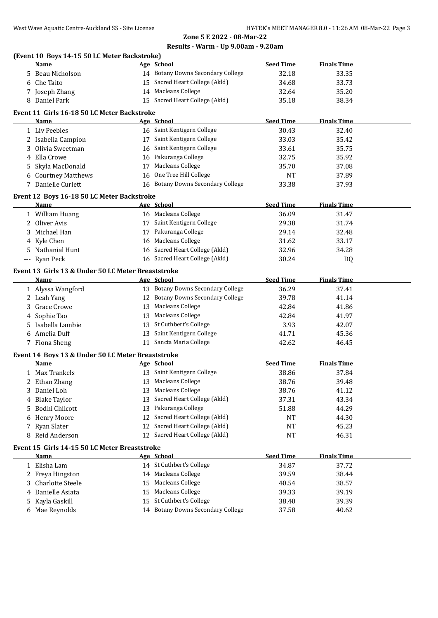|   | West Wave Aquatic Centre-Auckland SS - Site License | Zone 5 E 2022 - 08-Mar-22           | HY-TEK's MEET MANAGER 8.0 - 11:26 Al |                    |
|---|-----------------------------------------------------|-------------------------------------|--------------------------------------|--------------------|
|   |                                                     | Results - Warm - Up 9.00am - 9.20am |                                      |                    |
|   | (Event 10 Boys 14-15 50 LC Meter Backstroke)        |                                     |                                      |                    |
|   | Name                                                | Age School                          | <b>Seed Time</b>                     | <b>Finals Time</b> |
|   | 5 Beau Nicholson                                    | 14 Botany Downs Secondary College   | 32.18                                | 33.35              |
|   | 6 Che Taito                                         | 15 Sacred Heart College (Akld)      | 34.68                                | 33.73              |
|   | 7 Joseph Zhang                                      | 14 Macleans College                 | 32.64                                | 35.20              |
|   | 8 Daniel Park                                       | 15 Sacred Heart College (Akld)      | 35.18                                | 38.34              |
|   | Event 11 Girls 16-18 50 LC Meter Backstroke         |                                     |                                      |                    |
|   | Name                                                | Age School                          | <b>Seed Time</b>                     | <b>Finals Time</b> |
|   | 1 Liv Peebles                                       | 16 Saint Kentigern College          | 30.43                                | 32.40              |
|   | 2 Isabella Campion                                  | 17 Saint Kentigern College          | 33.03                                | 35.42              |
|   | 3 Olivia Sweetman                                   | 16 Saint Kentigern College          | 33.61                                | 35.75              |
|   | 4 Ella Crowe                                        | 16 Pakuranga College                | 32.75                                | 35.92              |
|   | 5 Skyla MacDonald                                   | 17 Macleans College                 | 35.70                                | 37.08              |
|   | 6 Courtney Matthews                                 | 16 One Tree Hill College            | NT                                   | 37.89              |
|   | 7 Danielle Curlett                                  | 16 Botany Downs Secondary College   | 33.38                                | 37.93              |
|   |                                                     |                                     |                                      |                    |
|   | Event 12 Boys 16-18 50 LC Meter Backstroke          |                                     |                                      |                    |
|   | Name                                                | Age School                          | <b>Seed Time</b>                     | <b>Finals Time</b> |
|   | 1 William Huang                                     | 16 Macleans College                 | 36.09                                | 31.47              |
|   | 2 Oliver Avis                                       | 17 Saint Kentigern College          | 29.38                                | 31.74              |
|   | 3 Michael Han                                       | 17 Pakuranga College                | 29.14                                | 32.48              |
|   | 4 Kyle Chen                                         | 16 Macleans College                 | 31.62                                | 33.17              |
|   | 5 Nathanial Hunt                                    | 16 Sacred Heart College (Akld)      | 32.96                                | 34.28              |
|   | --- Ryan Peck                                       | 16 Sacred Heart College (Akld)      | 30.24                                | DQ                 |
|   | Event 13 Girls 13 & Under 50 LC Meter Breaststroke  |                                     |                                      |                    |
|   | Name                                                | Age School                          | <b>Seed Time</b>                     | <b>Finals Time</b> |
|   | 1 Alyssa Wangford                                   | 13 Botany Downs Secondary College   | 36.29                                | 37.41              |
|   | 2 Leah Yang                                         | 12 Botany Downs Secondary College   | 39.78                                | 41.14              |
|   | 3 Grace Crowe                                       | 13 Macleans College                 | 42.84                                | 41.86              |
|   | 4 Sophie Tao                                        | 13 Macleans College                 | 42.84                                | 41.97              |
|   | 5 Isabella Lambie                                   | 13 St Cuthbert's College            | 3.93                                 | 42.07              |
|   | 6 Amelia Duff                                       | 13 Saint Kentigern College          | 41.71                                | 45.36              |
|   | 7 Fiona Sheng                                       | 11 Sancta Maria College             | 42.62                                | 46.45              |
|   | Event 14 Boys 13 & Under 50 LC Meter Breaststroke   |                                     |                                      |                    |
|   | <b>Name</b>                                         | Age School                          | <b>Seed Time</b>                     | <b>Finals Time</b> |
|   | 1 Max Trankels                                      | 13 Saint Kentigern College          | 38.86                                | 37.84              |
|   | 2 Ethan Zhang                                       | 13 Macleans College                 | 38.76                                | 39.48              |
|   | 3 Daniel Loh                                        | 13 Macleans College                 | 38.76                                | 41.12              |
|   | 4 Blake Taylor                                      | 13 Sacred Heart College (Akld)      | 37.31                                | 43.34              |
|   | 5 Bodhi Chilcott                                    | 13 Pakuranga College                | 51.88                                | 44.29              |
|   | 6 Henry Moore                                       | 12 Sacred Heart College (Akld)      | NT                                   | 44.30              |
|   | Ryan Slater                                         | 12 Sacred Heart College (Akld)      | NT                                   | 45.23              |
| 7 | 8 Reid Anderson                                     | 12 Sacred Heart College (Akld)      | NT                                   | 46.31              |
|   |                                                     |                                     |                                      |                    |
|   | Event 15 Girls 14-15 50 LC Meter Breaststroke       |                                     |                                      |                    |
|   | <u>Name</u>                                         | Age School                          | <b>Seed Time</b>                     | <b>Finals Time</b> |
|   | 1 Elisha Lam                                        | 14 St Cuthbert's College            | 34.87                                | 37.72              |
|   | 2 Freya Hingston                                    | 14 Macleans College                 | 39.59                                | 38.44              |

3 Charlotte Steele 15 Macleans College 15 Macleans 40.54 40.54 4 Danielle Asiata 15 Macleans College 39.33 39.19 Kayla Gaskill 15 St Cuthbert's College 38.40 39.39 Mae Reynolds 14 Botany Downs Secondary College 37.58 40.62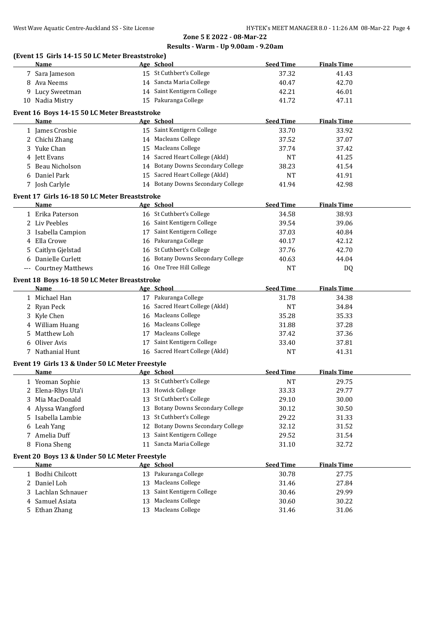# **Zone 5 E 2022 - 08-Mar-22**

#### **Results - Warm - Up 9.00am - 9.20am**

| (Event 15 Girls 14-15 50 LC Meter Breaststroke) |                 |
|-------------------------------------------------|-----------------|
| Name                                            | Age School      |
| <b>7 0. . I.</b>                                | $A = C + C + L$ |

|                                                | Name                                            |    | Age School                            | <b>Seed Time</b> | <b>Finals Time</b> |  |  |
|------------------------------------------------|-------------------------------------------------|----|---------------------------------------|------------------|--------------------|--|--|
|                                                | 7 Sara Jameson                                  |    | 15 St Cuthbert's College              | 37.32            | 41.43              |  |  |
|                                                | 8 Ava Neems                                     |    | 14 Sancta Maria College               | 40.47            | 42.70              |  |  |
|                                                | Lucy Sweetman                                   |    | 14 Saint Kentigern College            | 42.21            | 46.01              |  |  |
|                                                | 10 Nadia Mistry                                 |    | 15 Pakuranga College                  | 41.72            | 47.11              |  |  |
|                                                | Event 16 Boys 14-15 50 LC Meter Breaststroke    |    |                                       |                  |                    |  |  |
|                                                | Name                                            |    | Age School                            | <b>Seed Time</b> | <b>Finals Time</b> |  |  |
|                                                | 1 James Crosbie                                 |    | 15 Saint Kentigern College            | 33.70            | 33.92              |  |  |
|                                                | 2 Chichi Zhang                                  |    | 14 Macleans College                   | 37.52            | 37.07              |  |  |
| 3                                              | Yuke Chan                                       |    | 15 Macleans College                   | 37.74            | 37.42              |  |  |
|                                                | 4 Jett Evans                                    |    | 14 Sacred Heart College (Akld)        | NT               | 41.25              |  |  |
|                                                |                                                 |    | <b>Botany Downs Secondary College</b> |                  |                    |  |  |
| 5.                                             | Beau Nicholson                                  | 14 | 15 Sacred Heart College (Akld)        | 38.23            | 41.54              |  |  |
|                                                | Daniel Park                                     |    |                                       | <b>NT</b>        | 41.91              |  |  |
|                                                | 7 Josh Carlyle                                  |    | <b>Botany Downs Secondary College</b> | 41.94            | 42.98              |  |  |
|                                                | Event 17 Girls 16-18 50 LC Meter Breaststroke   |    |                                       |                  |                    |  |  |
|                                                | Name                                            |    | Age School                            | <b>Seed Time</b> | <b>Finals Time</b> |  |  |
|                                                | 1 Erika Paterson                                |    | 16 St Cuthbert's College              | 34.58            | 38.93              |  |  |
|                                                | 2 Liv Peebles                                   |    | 16 Saint Kentigern College            | 39.54            | 39.06              |  |  |
|                                                | 3 Isabella Campion                              |    | 17 Saint Kentigern College            | 37.03            | 40.84              |  |  |
|                                                | 4 Ella Crowe                                    | 16 | Pakuranga College                     | 40.17            | 42.12              |  |  |
|                                                | 5 Caitlyn Gjelstad                              | 16 | St Cuthbert's College                 | 37.76            | 42.70              |  |  |
|                                                | 6 Danielle Curlett                              | 16 | <b>Botany Downs Secondary College</b> | 40.63            | 44.04              |  |  |
|                                                | --- Courtney Matthews                           |    | 16 One Tree Hill College              | <b>NT</b>        | DQ                 |  |  |
|                                                | Event 18 Boys 16-18 50 LC Meter Breaststroke    |    |                                       |                  |                    |  |  |
|                                                | Name                                            |    | Age School                            | <b>Seed Time</b> | <b>Finals Time</b> |  |  |
|                                                | 1 Michael Han                                   |    | 17 Pakuranga College                  | 31.78            | 34.38              |  |  |
|                                                | 2 Ryan Peck                                     |    | 16 Sacred Heart College (Akld)        | <b>NT</b>        | 34.84              |  |  |
|                                                | 3 Kyle Chen                                     |    | 16 Macleans College                   | 35.28            | 35.33              |  |  |
|                                                | 4 William Huang                                 |    | 16 Macleans College                   | 31.88            | 37.28              |  |  |
| 5                                              | Matthew Loh                                     |    | 17 Macleans College                   | 37.42            | 37.36              |  |  |
| 6                                              | Oliver Avis                                     |    | 17 Saint Kentigern College            | 33.40            | 37.81              |  |  |
|                                                | 7 Nathanial Hunt                                |    | 16 Sacred Heart College (Akld)        | <b>NT</b>        | 41.31              |  |  |
|                                                |                                                 |    |                                       |                  |                    |  |  |
|                                                | Event 19 Girls 13 & Under 50 LC Meter Freestyle |    |                                       |                  |                    |  |  |
|                                                | Name                                            |    | Age School                            | <b>Seed Time</b> | <b>Finals Time</b> |  |  |
|                                                | 1 Yeoman Sophie                                 |    | 13 St Cuthbert's College              | <b>NT</b>        | 29.75              |  |  |
|                                                | 2 Elena-Rhys Uta'i                              |    | 13 Howick College                     | 33.33            | 29.77              |  |  |
| 3                                              | Mia MacDonald                                   | 13 | St Cuthbert's College                 | 29.10            | 30.00              |  |  |
|                                                | 4 Alyssa Wangford                               | 13 | <b>Botany Downs Secondary College</b> | 30.12            | 30.50              |  |  |
|                                                | 5 Isabella Lambie                               | 13 | St Cuthbert's College                 | 29.22            | 31.33              |  |  |
|                                                | 6 Leah Yang                                     | 12 | <b>Botany Downs Secondary College</b> | 32.12            | 31.52              |  |  |
| 7                                              | Amelia Duff                                     | 13 | Saint Kentigern College               | 29.52            | 31.54              |  |  |
|                                                | 8 Fiona Sheng                                   |    | 11 Sancta Maria College               | 31.10            | 32.72              |  |  |
| Event 20 Boys 13 & Under 50 LC Meter Freestyle |                                                 |    |                                       |                  |                    |  |  |
|                                                | Name                                            |    | Age School                            | <b>Seed Time</b> | <b>Finals Time</b> |  |  |
|                                                | 1 Bodhi Chilcott                                |    | 13 Pakuranga College                  | 30.78            | 27.75              |  |  |
|                                                | 2 Daniel Loh                                    | 13 | Macleans College                      | 31.46            | 27.84              |  |  |
|                                                | Lachlan Schnauer                                | 13 | Saint Kentigern College               | 30.46            | 29.99              |  |  |
| 4                                              | Samuel Asiata                                   | 13 | <b>Macleans College</b>               | 30.60            | 30.22              |  |  |
|                                                | 5 Ethan Zhang                                   |    | 13 Macleans College                   | 31.46            | 31.06              |  |  |
|                                                |                                                 |    |                                       |                  |                    |  |  |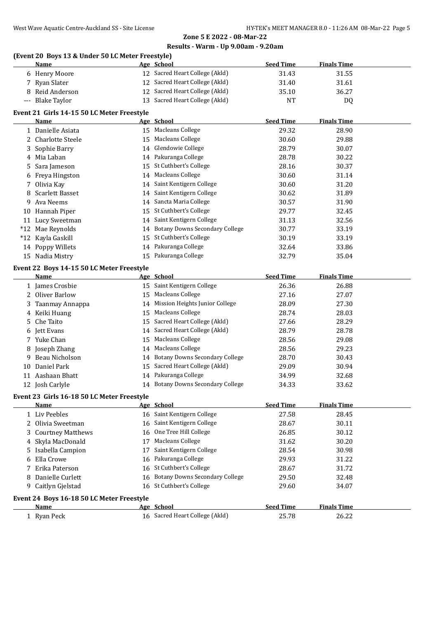### **Zone 5 E 2022 - 08-Mar-22**

#### **Results - Warm - Up 9.00am - 9.20am**

## **(Event 20 Boys 13 & Under 50 LC Meter Freestyle)**

|                      | Name                                       |    | Age School                        | <b>Seed Time</b> | <b>Finals Time</b> |  |
|----------------------|--------------------------------------------|----|-----------------------------------|------------------|--------------------|--|
|                      | 6 Henry Moore                              |    | 12 Sacred Heart College (Akld)    | 31.43            | 31.55              |  |
| 7                    | Ryan Slater                                |    | 12 Sacred Heart College (Akld)    | 31.40            | 31.61              |  |
| 8                    | Reid Anderson                              |    | 12 Sacred Heart College (Akld)    | 35.10            | 36.27              |  |
| $\scriptstyle\cdots$ | <b>Blake Taylor</b>                        |    | 13 Sacred Heart College (Akld)    | NT               | DQ                 |  |
|                      | Event 21 Girls 14-15 50 LC Meter Freestyle |    |                                   |                  |                    |  |
|                      | Name                                       |    | Age School                        | <b>Seed Time</b> | <b>Finals Time</b> |  |
|                      | 1 Danielle Asiata                          |    | 15 Macleans College               | 29.32            | 28.90              |  |
|                      | 2 Charlotte Steele                         |    | 15 Macleans College               | 30.60            | 29.88              |  |
| 3.                   | Sophie Barry                               |    | 14 Glendowie College              | 28.79            | 30.07              |  |
|                      | 4 Mia Laban                                |    | 14 Pakuranga College              | 28.78            | 30.22              |  |
| 5                    | Sara Jameson                               |    | 15 St Cuthbert's College          | 28.16            | 30.37              |  |
| 6                    | Freya Hingston                             |    | 14 Macleans College               | 30.60            | 31.14              |  |
| 7                    | Olivia Kay                                 |    | 14 Saint Kentigern College        | 30.60            | 31.20              |  |
| 8                    | Scarlett Basset                            |    | 14 Saint Kentigern College        | 30.62            | 31.89              |  |
| 9                    | Ava Neems                                  |    | 14 Sancta Maria College           | 30.57            | 31.90              |  |
|                      | 10 Hannah Piper                            |    | 15 St Cuthbert's College          | 29.77            | 32.45              |  |
|                      | 11 Lucy Sweetman                           |    | 14 Saint Kentigern College        | 31.13            | 32.56              |  |
|                      | *12 Mae Reynolds                           |    | 14 Botany Downs Secondary College | 30.77            | 33.19              |  |
|                      | *12 Kayla Gaskill                          |    | 15 St Cuthbert's College          | 30.19            | 33.19              |  |
|                      | 14 Poppy Willets                           |    | 14 Pakuranga College              | 32.64            | 33.86              |  |
|                      | 15 Nadia Mistry                            |    | 15 Pakuranga College              | 32.79            | 35.04              |  |
|                      | Event 22 Boys 14-15 50 LC Meter Freestyle  |    |                                   |                  |                    |  |
|                      | Name                                       |    | Age School                        | <b>Seed Time</b> | <b>Finals Time</b> |  |
|                      | 1 James Crosbie                            |    | 15 Saint Kentigern College        | 26.36            | 26.88              |  |
|                      | 2 Oliver Barlow                            |    | 15 Macleans College               | 27.16            | 27.07              |  |
| 3                    | Taanmay Annappa                            |    | 14 Mission Heights Junior College | 28.09            | 27.30              |  |
| 4                    | Keiki Huang                                |    | 15 Macleans College               | 28.74            | 28.03              |  |
| 5                    | Che Taito                                  |    | 15 Sacred Heart College (Akld)    | 27.66            | 28.29              |  |
| 6                    | Jett Evans                                 |    | 14 Sacred Heart College (Akld)    | 28.79            | 28.78              |  |
|                      | 7 Yuke Chan                                |    | 15 Macleans College               | 28.56            | 29.08              |  |
|                      | Joseph Zhang                               |    | 14 Macleans College               | 28.56            | 29.23              |  |
| 9                    | Beau Nicholson                             |    | 14 Botany Downs Secondary College | 28.70            | 30.43              |  |
| 10                   | Daniel Park                                |    | 15 Sacred Heart College (Akld)    | 29.09            | 30.94              |  |
|                      | 11 Aashaan Bhatt                           |    | 14 Pakuranga College              | 34.99            | 32.68              |  |
|                      | 12 Josh Carlyle                            |    | 14 Botany Downs Secondary College | 34.33            | 33.62              |  |
|                      |                                            |    |                                   |                  |                    |  |
|                      | Event 23 Girls 16-18 50 LC Meter Freestyle |    |                                   |                  |                    |  |
|                      | Name                                       |    | Age School                        | <b>Seed Time</b> | <b>Finals Time</b> |  |
|                      | 1 Liv Peebles                              |    | 16 Saint Kentigern College        | 27.58            | 28.45              |  |
|                      | 2 Olivia Sweetman                          |    | 16 Saint Kentigern College        | 28.67            | 30.11              |  |
| 3                    | <b>Courtney Matthews</b>                   |    | 16 One Tree Hill College          | 26.85            | 30.12              |  |
| 4                    | Skyla MacDonald                            | 17 | <b>Macleans College</b>           | 31.62            | 30.20              |  |
| 5                    | Isabella Campion                           | 17 | Saint Kentigern College           | 28.54            | 30.98              |  |
| 6                    | Ella Crowe                                 | 16 | Pakuranga College                 | 29.93            | 31.22              |  |
|                      | Erika Paterson                             |    | 16 St Cuthbert's College          | 28.67            | 31.72              |  |
| 8                    | Danielle Curlett                           |    | 16 Botany Downs Secondary College | 29.50            | 32.48              |  |
| 9                    | Caitlyn Gjelstad                           |    | 16 St Cuthbert's College          | 29.60            | 34.07              |  |
|                      | Event 24 Boys 16-18 50 LC Meter Freestyle  |    |                                   |                  |                    |  |
|                      | <u>Name</u>                                |    | Age School                        | <b>Seed Time</b> | <b>Finals Time</b> |  |
|                      | 1 Ryan Peck                                |    | 16 Sacred Heart College (Akld)    | 25.78            | 26.22              |  |